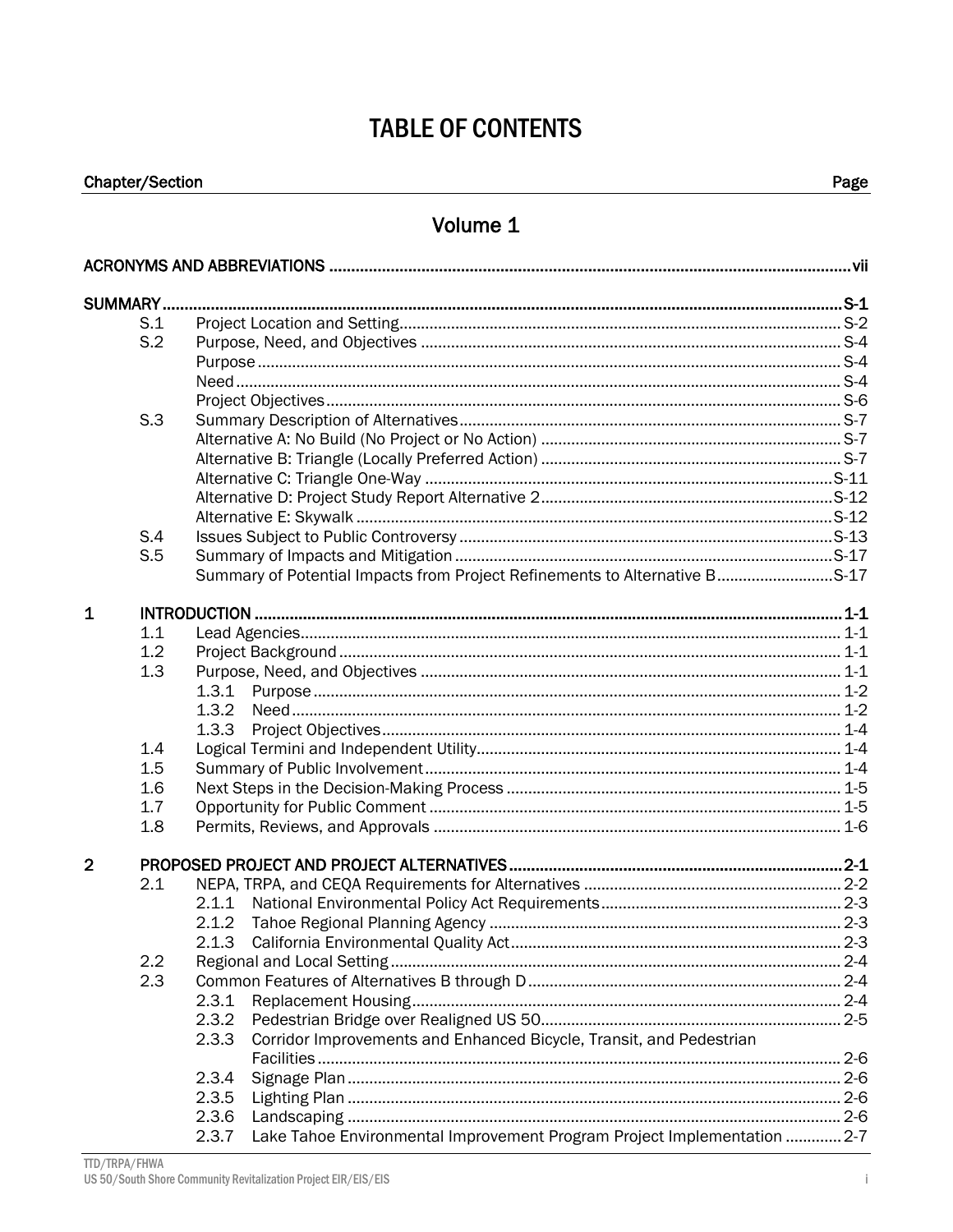## **TABLE OF CONTENTS**

## Volume 1

|                | SUMMARY |                                                                                   |  |  |
|----------------|---------|-----------------------------------------------------------------------------------|--|--|
|                | S.1     |                                                                                   |  |  |
|                | S.2     |                                                                                   |  |  |
|                |         |                                                                                   |  |  |
|                |         |                                                                                   |  |  |
|                |         |                                                                                   |  |  |
|                | S.3     |                                                                                   |  |  |
|                |         |                                                                                   |  |  |
|                |         |                                                                                   |  |  |
|                |         |                                                                                   |  |  |
|                |         |                                                                                   |  |  |
|                |         |                                                                                   |  |  |
|                | S.4     |                                                                                   |  |  |
|                | S.5     |                                                                                   |  |  |
|                |         | Summary of Potential Impacts from Project Refinements to Alternative BS-17        |  |  |
| $\mathbf{1}$   |         |                                                                                   |  |  |
|                | 1.1     |                                                                                   |  |  |
|                | 1.2     |                                                                                   |  |  |
|                | 1.3     |                                                                                   |  |  |
|                |         | 1.3.1                                                                             |  |  |
|                |         | 1.3.2                                                                             |  |  |
|                |         | 1.3.3                                                                             |  |  |
|                | 1.4     |                                                                                   |  |  |
|                | 1.5     |                                                                                   |  |  |
|                | 1.6     |                                                                                   |  |  |
|                | 1.7     |                                                                                   |  |  |
|                | 1.8     |                                                                                   |  |  |
| $\overline{2}$ |         |                                                                                   |  |  |
|                | 2.1     |                                                                                   |  |  |
|                |         | 2.1.1                                                                             |  |  |
|                |         | 2.1.2                                                                             |  |  |
|                |         | 2.1.3                                                                             |  |  |
|                | 2.2     |                                                                                   |  |  |
|                | 2.3     |                                                                                   |  |  |
|                |         | 2.3.1                                                                             |  |  |
|                |         | 2.3.2                                                                             |  |  |
|                |         | Corridor Improvements and Enhanced Bicycle, Transit, and Pedestrian<br>2.3.3      |  |  |
|                |         |                                                                                   |  |  |
|                |         | 2.3.4                                                                             |  |  |
|                |         | 2.3.5                                                                             |  |  |
|                |         | 2.3.6                                                                             |  |  |
|                |         | Lake Tahoe Environmental Improvement Program Project Implementation  2-7<br>2.3.7 |  |  |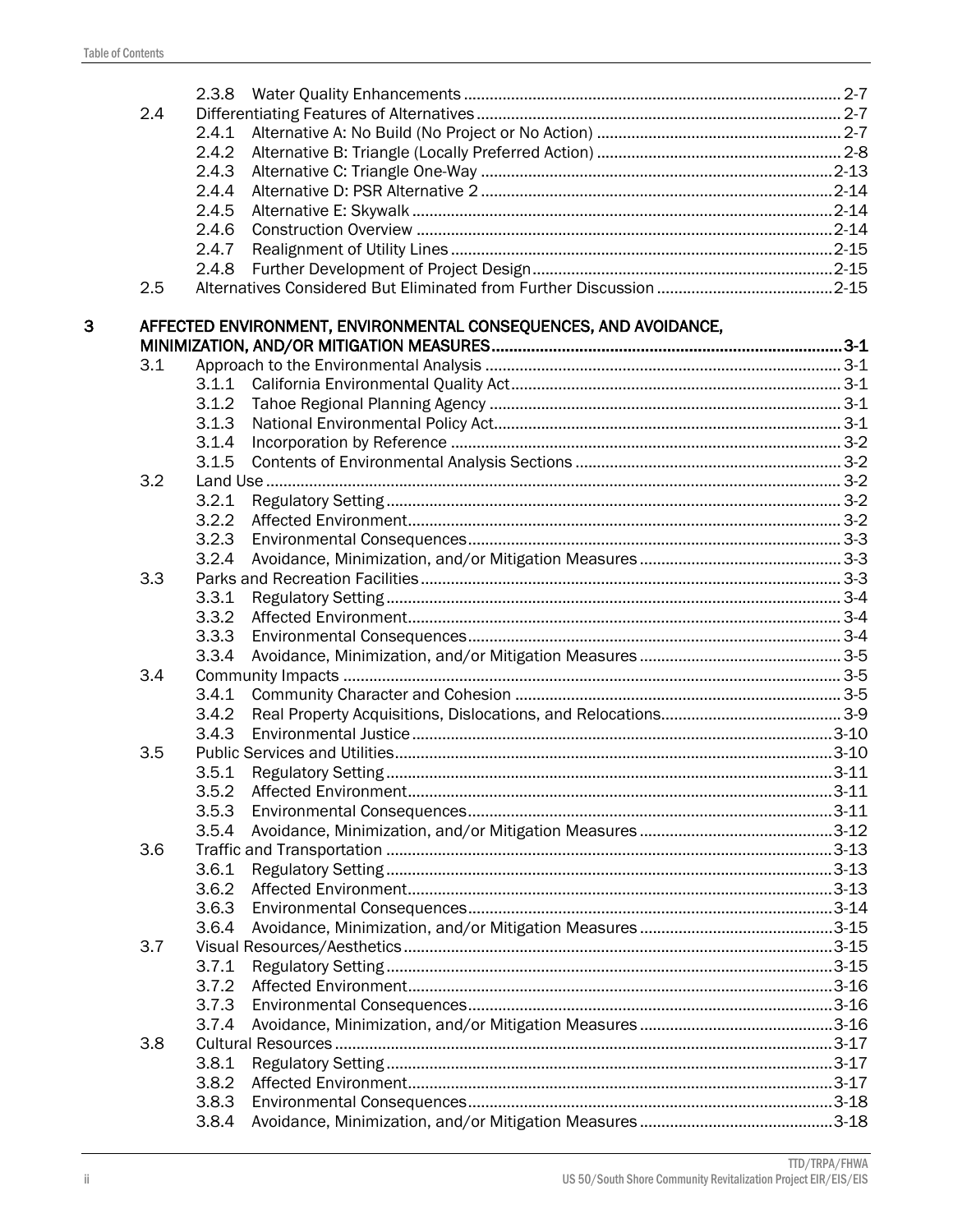|   |                                                                  | 2.3.8 |  |  |  |
|---|------------------------------------------------------------------|-------|--|--|--|
|   | 2.4                                                              |       |  |  |  |
|   |                                                                  | 2.4.1 |  |  |  |
|   |                                                                  | 2.4.2 |  |  |  |
|   |                                                                  | 2.4.3 |  |  |  |
|   |                                                                  | 2.4.4 |  |  |  |
|   |                                                                  | 2.4.5 |  |  |  |
|   |                                                                  | 2.4.6 |  |  |  |
|   |                                                                  | 2.4.7 |  |  |  |
|   |                                                                  | 2.4.8 |  |  |  |
|   | 2.5                                                              |       |  |  |  |
| 3 | AFFECTED ENVIRONMENT, ENVIRONMENTAL CONSEQUENCES, AND AVOIDANCE, |       |  |  |  |
|   |                                                                  |       |  |  |  |
|   | 3.1                                                              |       |  |  |  |
|   |                                                                  | 3.1.1 |  |  |  |
|   |                                                                  | 3.1.2 |  |  |  |
|   |                                                                  | 3.1.3 |  |  |  |
|   |                                                                  | 3.1.4 |  |  |  |
|   |                                                                  | 3.1.5 |  |  |  |
|   | 3.2                                                              |       |  |  |  |
|   |                                                                  | 3.2.1 |  |  |  |
|   |                                                                  | 3.2.2 |  |  |  |
|   |                                                                  | 3.2.3 |  |  |  |
|   |                                                                  | 3.2.4 |  |  |  |
|   | 3.3                                                              |       |  |  |  |
|   |                                                                  | 3.3.1 |  |  |  |
|   |                                                                  | 3.3.2 |  |  |  |
|   |                                                                  | 3.3.3 |  |  |  |
|   |                                                                  | 3.3.4 |  |  |  |
|   | 3.4                                                              |       |  |  |  |
|   |                                                                  | 3.4.1 |  |  |  |
|   |                                                                  | 3.4.2 |  |  |  |
|   |                                                                  | 3.4.3 |  |  |  |
|   | 3.5                                                              |       |  |  |  |
|   |                                                                  | 3.5.1 |  |  |  |
|   |                                                                  | 3.5.2 |  |  |  |
|   |                                                                  | 3.5.3 |  |  |  |
|   |                                                                  | 3.5.4 |  |  |  |
|   | 3.6                                                              |       |  |  |  |
|   |                                                                  | 3.6.1 |  |  |  |
|   |                                                                  | 3.6.2 |  |  |  |
|   |                                                                  | 3.6.3 |  |  |  |
|   |                                                                  | 3.6.4 |  |  |  |
|   | 3.7                                                              |       |  |  |  |
|   |                                                                  | 3.7.1 |  |  |  |
|   |                                                                  | 3.7.2 |  |  |  |
|   |                                                                  | 3.7.3 |  |  |  |
|   |                                                                  | 3.7.4 |  |  |  |
|   | 3.8                                                              |       |  |  |  |
|   |                                                                  |       |  |  |  |
|   |                                                                  | 3.8.1 |  |  |  |
|   |                                                                  | 3.8.2 |  |  |  |
|   |                                                                  | 3.8.3 |  |  |  |
|   |                                                                  | 3.8.4 |  |  |  |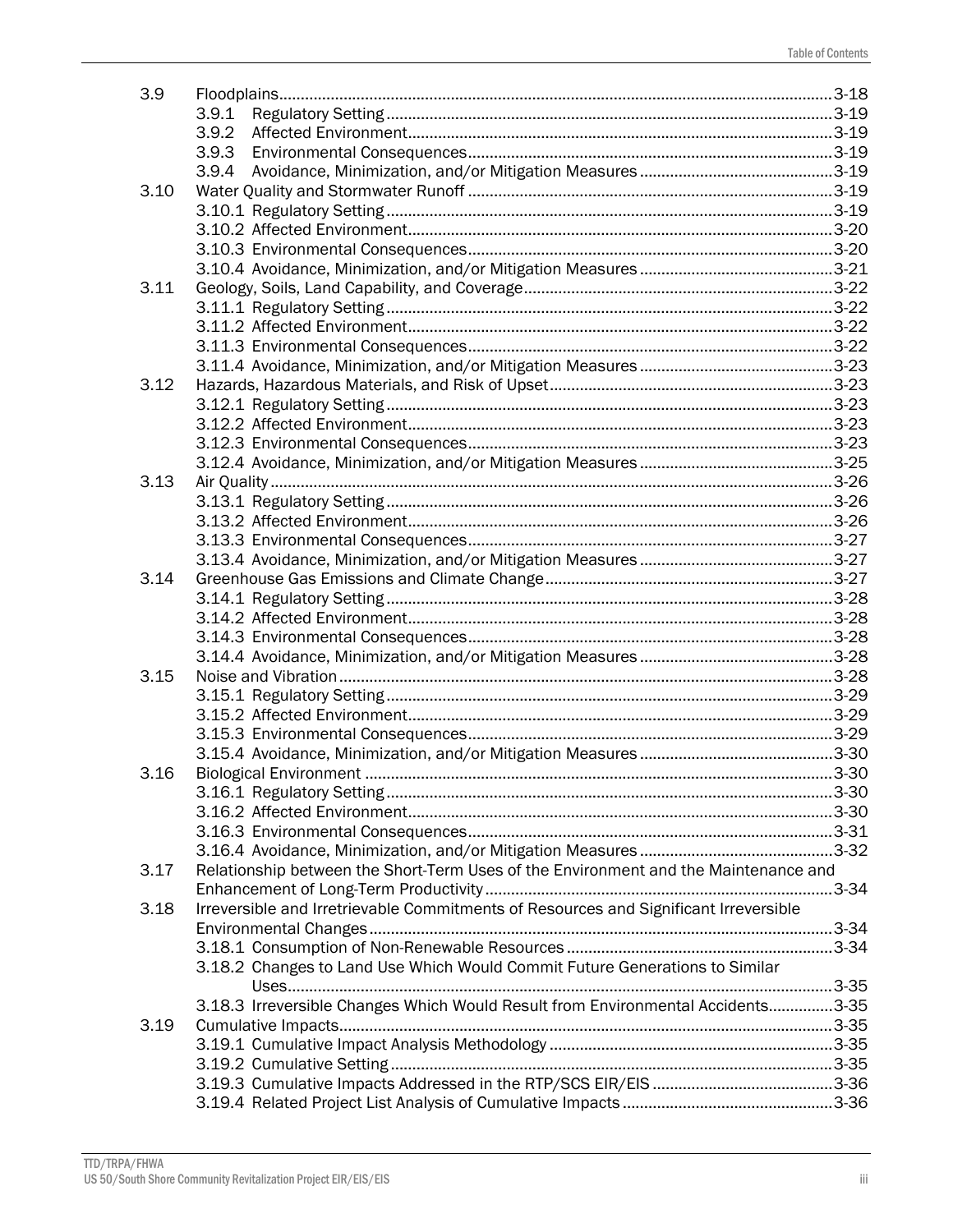| 3.9  |                                                                                      |  |
|------|--------------------------------------------------------------------------------------|--|
|      | 3.9.1                                                                                |  |
|      | 3.9.2                                                                                |  |
|      | 3.9.3                                                                                |  |
|      | 3.9.4                                                                                |  |
| 3.10 |                                                                                      |  |
|      |                                                                                      |  |
|      |                                                                                      |  |
|      |                                                                                      |  |
|      |                                                                                      |  |
| 3.11 |                                                                                      |  |
|      |                                                                                      |  |
|      |                                                                                      |  |
|      |                                                                                      |  |
|      |                                                                                      |  |
| 3.12 |                                                                                      |  |
|      |                                                                                      |  |
|      |                                                                                      |  |
|      |                                                                                      |  |
|      |                                                                                      |  |
| 3.13 |                                                                                      |  |
|      |                                                                                      |  |
|      |                                                                                      |  |
|      |                                                                                      |  |
|      |                                                                                      |  |
| 3.14 |                                                                                      |  |
|      |                                                                                      |  |
|      |                                                                                      |  |
|      |                                                                                      |  |
|      |                                                                                      |  |
| 3.15 |                                                                                      |  |
|      |                                                                                      |  |
|      |                                                                                      |  |
|      |                                                                                      |  |
|      |                                                                                      |  |
| 3.16 |                                                                                      |  |
|      |                                                                                      |  |
|      |                                                                                      |  |
|      |                                                                                      |  |
|      |                                                                                      |  |
| 3.17 | Relationship between the Short-Term Uses of the Environment and the Maintenance and  |  |
|      |                                                                                      |  |
| 3.18 | Irreversible and Irretrievable Commitments of Resources and Significant Irreversible |  |
|      |                                                                                      |  |
|      |                                                                                      |  |
|      | 3.18.2 Changes to Land Use Which Would Commit Future Generations to Similar          |  |
|      |                                                                                      |  |
|      | 3.18.3 Irreversible Changes Which Would Result from Environmental Accidents3-35      |  |
| 3.19 |                                                                                      |  |
|      |                                                                                      |  |
|      |                                                                                      |  |
|      |                                                                                      |  |
|      |                                                                                      |  |
|      |                                                                                      |  |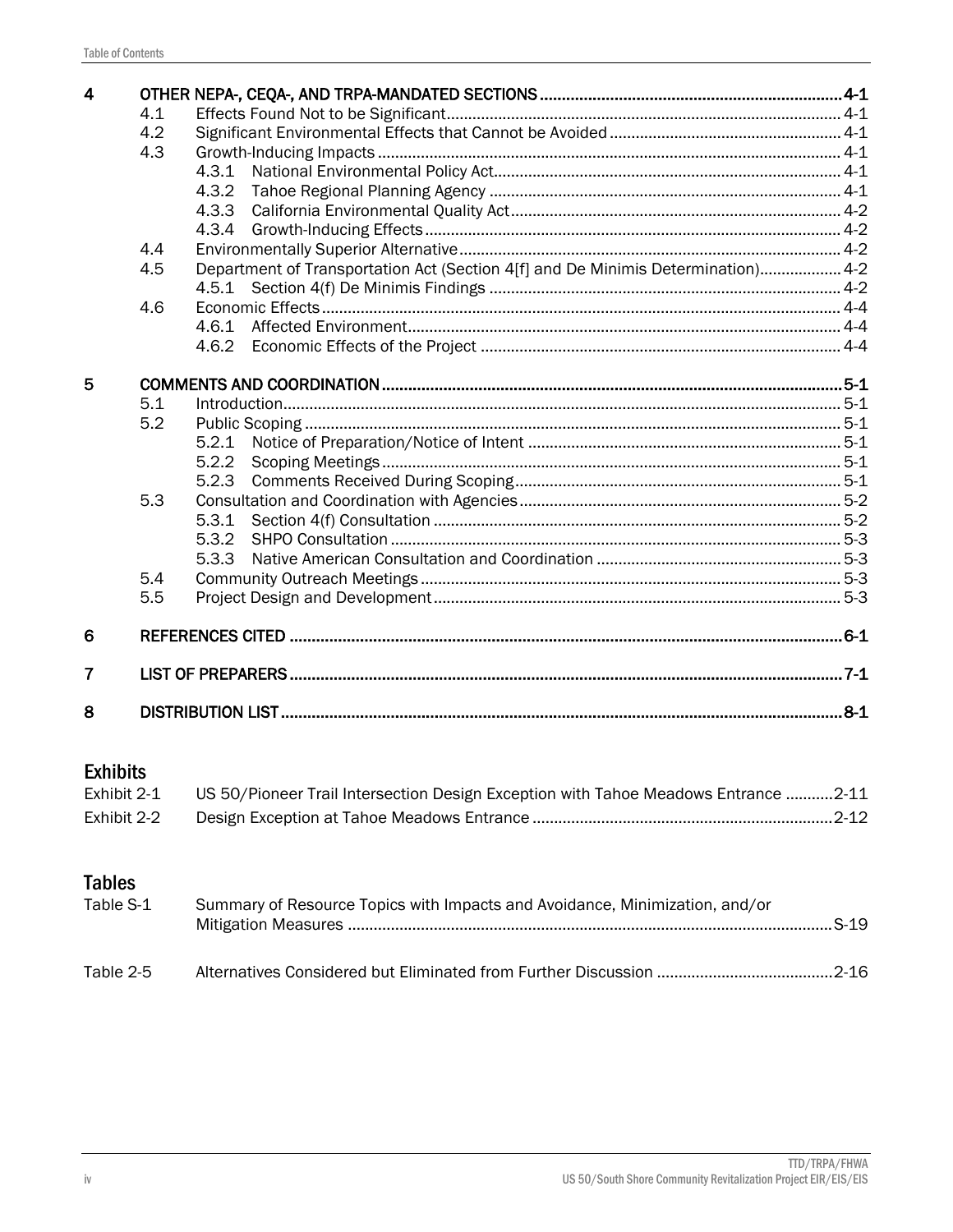| $\overline{\mathbf{4}}$ |            |                                                                                    |  |
|-------------------------|------------|------------------------------------------------------------------------------------|--|
|                         | 4.1<br>4.2 |                                                                                    |  |
|                         | 4.3        |                                                                                    |  |
|                         |            | 4.3.1                                                                              |  |
|                         |            | 4.3.2                                                                              |  |
|                         |            | 4.3.3                                                                              |  |
|                         |            | 4.3.4                                                                              |  |
|                         | 4.4        |                                                                                    |  |
|                         | 4.5        | Department of Transportation Act (Section 4[f] and De Minimis Determination) 4-2   |  |
|                         |            |                                                                                    |  |
|                         | 4.6        |                                                                                    |  |
|                         |            |                                                                                    |  |
|                         |            |                                                                                    |  |
| 5                       |            |                                                                                    |  |
|                         | 5.1        |                                                                                    |  |
|                         | 5.2        |                                                                                    |  |
|                         |            | 5.2.1                                                                              |  |
|                         |            | 5.2.2                                                                              |  |
|                         |            | 5.2.3                                                                              |  |
|                         | 5.3        |                                                                                    |  |
|                         |            | 5.3.1                                                                              |  |
|                         |            | 5.3.2                                                                              |  |
|                         |            | 5.3.3                                                                              |  |
|                         | 5.4        |                                                                                    |  |
|                         | 5.5        |                                                                                    |  |
| 6                       |            |                                                                                    |  |
| $\overline{7}$          |            |                                                                                    |  |
| 8                       |            |                                                                                    |  |
|                         |            |                                                                                    |  |
| <b>Exhibits</b>         |            |                                                                                    |  |
| Exhibit 2-1             |            | US 50/Pioneer Trail Intersection Design Exception with Tahoe Meadows Entrance 2-11 |  |
| Exhibit 2-2             |            |                                                                                    |  |
|                         |            |                                                                                    |  |
| <b>Tables</b>           |            |                                                                                    |  |
|                         |            |                                                                                    |  |

| Table S-1<br>Summary of Resource Topics with Impacts and Avoidance, Minimization, and/or |  |  |  |
|------------------------------------------------------------------------------------------|--|--|--|
| Table 2-5                                                                                |  |  |  |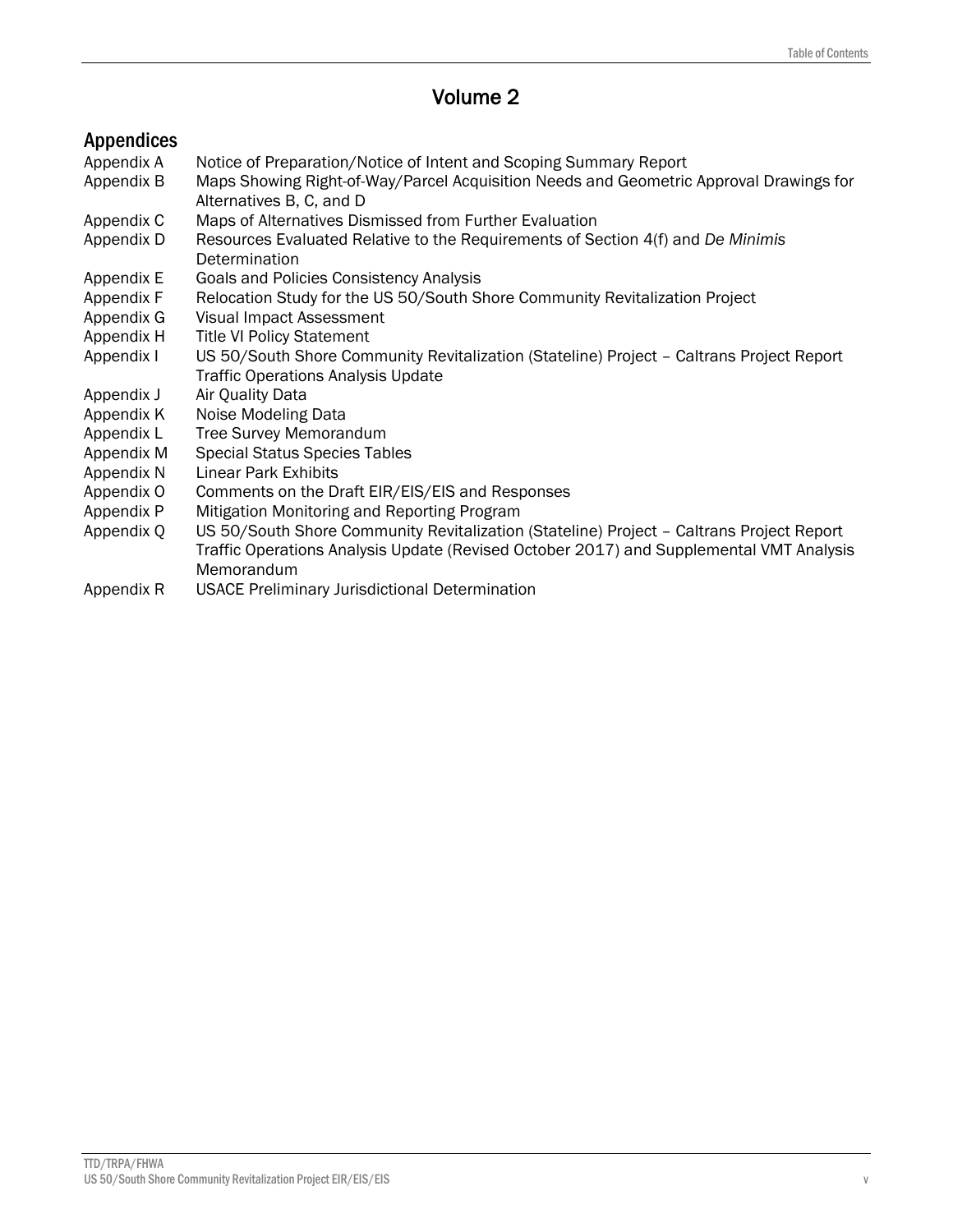## Volume 2

| <b>Appendices</b> |                                                                                                                                                                                                   |
|-------------------|---------------------------------------------------------------------------------------------------------------------------------------------------------------------------------------------------|
| Appendix A        | Notice of Preparation/Notice of Intent and Scoping Summary Report                                                                                                                                 |
| Appendix B        | Maps Showing Right-of-Way/Parcel Acquisition Needs and Geometric Approval Drawings for<br>Alternatives B, C, and D                                                                                |
| Appendix C        | Maps of Alternatives Dismissed from Further Evaluation                                                                                                                                            |
| Appendix D        | Resources Evaluated Relative to the Requirements of Section 4(f) and De Minimis<br>Determination                                                                                                  |
| Appendix E        | <b>Goals and Policies Consistency Analysis</b>                                                                                                                                                    |
| Appendix F        | Relocation Study for the US 50/South Shore Community Revitalization Project                                                                                                                       |
| Appendix G        | <b>Visual Impact Assessment</b>                                                                                                                                                                   |
| Appendix H        | <b>Title VI Policy Statement</b>                                                                                                                                                                  |
| Appendix I        | US 50/South Shore Community Revitalization (Stateline) Project - Caltrans Project Report<br><b>Traffic Operations Analysis Update</b>                                                             |
| Appendix J        | Air Quality Data                                                                                                                                                                                  |
| Appendix K        | Noise Modeling Data                                                                                                                                                                               |
| Appendix L        | Tree Survey Memorandum                                                                                                                                                                            |
| Appendix M        | <b>Special Status Species Tables</b>                                                                                                                                                              |
| Appendix N        | Linear Park Exhibits                                                                                                                                                                              |
| Appendix O        | Comments on the Draft EIR/EIS/EIS and Responses                                                                                                                                                   |
| Appendix P        | Mitigation Monitoring and Reporting Program                                                                                                                                                       |
| Appendix Q        | US 50/South Shore Community Revitalization (Stateline) Project - Caltrans Project Report<br>Traffic Operations Analysis Update (Revised October 2017) and Supplemental VMT Analysis<br>Memorandum |
| Appendix R        | <b>USACE Preliminary Jurisdictional Determination</b>                                                                                                                                             |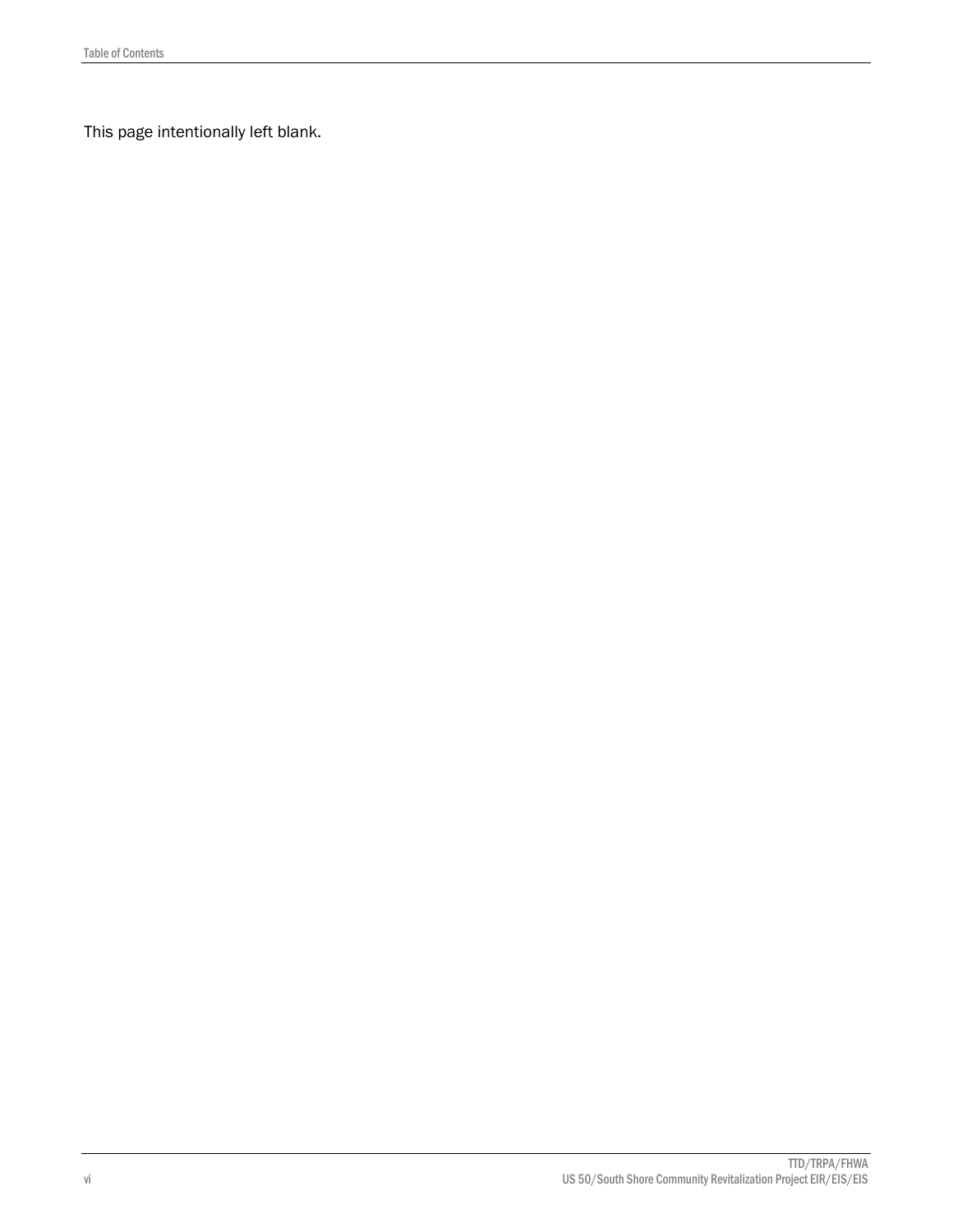This page intentionally left blank.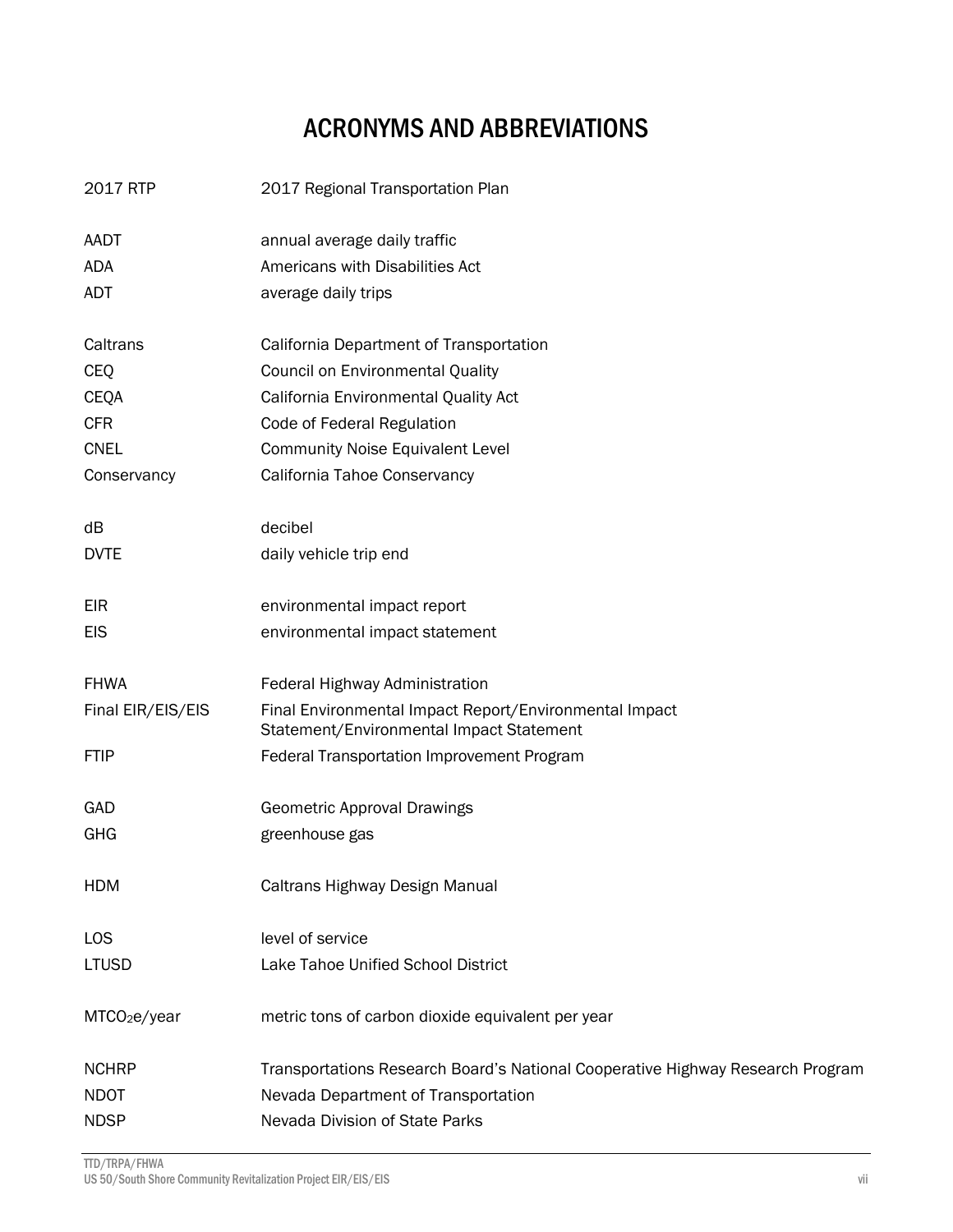## ACRONYMS AND ABBREVIATIONS

| 2017 RTP                 | 2017 Regional Transportation Plan                                                                  |
|--------------------------|----------------------------------------------------------------------------------------------------|
| AADT                     | annual average daily traffic                                                                       |
| <b>ADA</b>               | Americans with Disabilities Act                                                                    |
| <b>ADT</b>               | average daily trips                                                                                |
|                          |                                                                                                    |
| Caltrans                 | California Department of Transportation                                                            |
| <b>CEQ</b>               | Council on Environmental Quality                                                                   |
| <b>CEQA</b>              | California Environmental Quality Act                                                               |
| <b>CFR</b>               | Code of Federal Regulation                                                                         |
| <b>CNEL</b>              | <b>Community Noise Equivalent Level</b>                                                            |
| Conservancy              | California Tahoe Conservancy                                                                       |
| dB                       | decibel                                                                                            |
| <b>DVTE</b>              | daily vehicle trip end                                                                             |
|                          |                                                                                                    |
| <b>EIR</b>               | environmental impact report                                                                        |
| <b>EIS</b>               | environmental impact statement                                                                     |
|                          |                                                                                                    |
| <b>FHWA</b>              | Federal Highway Administration                                                                     |
| Final EIR/EIS/EIS        | Final Environmental Impact Report/Environmental Impact<br>Statement/Environmental Impact Statement |
| <b>FTIP</b>              | Federal Transportation Improvement Program                                                         |
|                          |                                                                                                    |
| GAD                      | <b>Geometric Approval Drawings</b>                                                                 |
| <b>GHG</b>               | greenhouse gas                                                                                     |
| <b>HDM</b>               | Caltrans Highway Design Manual                                                                     |
|                          |                                                                                                    |
| <b>LOS</b>               | level of service                                                                                   |
| <b>LTUSD</b>             | Lake Tahoe Unified School District                                                                 |
| MTCO <sub>2</sub> e/year | metric tons of carbon dioxide equivalent per year                                                  |
| <b>NCHRP</b>             | Transportations Research Board's National Cooperative Highway Research Program                     |
| <b>NDOT</b>              | Nevada Department of Transportation                                                                |
| <b>NDSP</b>              | Nevada Division of State Parks                                                                     |